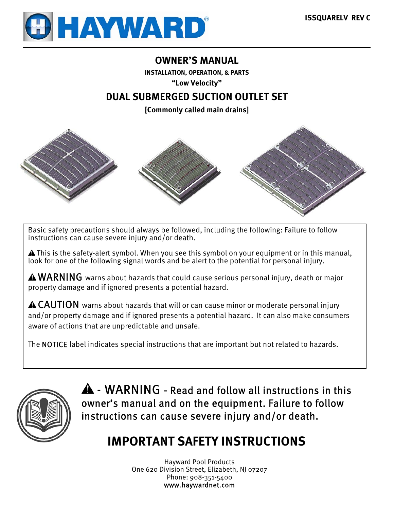

# **OWNER'S MANUAL**

**INSTALLATION, OPERATION, & PARTS** 

**"Low Velocity"** 

# **DUAL SUBMERGED SUCTION OUTLET SET**

**[Commonly called main drains]** 



Basic safety precautions should always be followed, including the following: Failure to follow instructions can cause severe injury and/or death.

 This is the safety-alert symbol. When you see this symbol on your equipment or in this manual, look for one of the following signal words and be alert to the potential for personal injury.

 $\triangle$  WARNING warns about hazards that could cause serious personal injury, death or major property damage and if ignored presents a potential hazard.

CAUTION warns about hazards that will or can cause minor or moderate personal injury and/or property damage and if ignored presents a potential hazard. It can also make consumers aware of actions that are unpredictable and unsafe.

The NOTICE label indicates special instructions that are important but not related to hazards.



 - WARNING **-** Read and follow all instructions in this owner's manual and on the equipment. Failure to follow instructions can cause severe injury and/or death.

# **IMPORTANT SAFETY INSTRUCTIONS**

Hayward Pool Products One 620 Division Street, Elizabeth, NJ 07207 Phone: 908-351-5400 www.haywardnet.com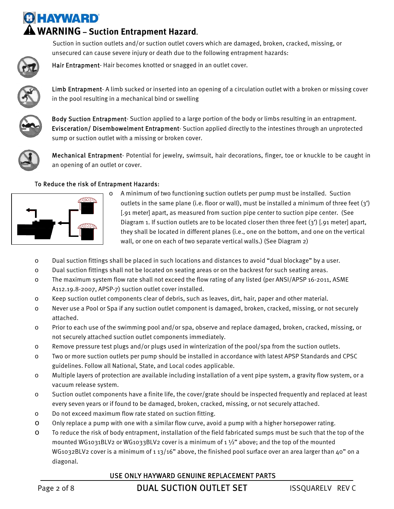# **O HAYWARD WARNING – Suction Entrapment Hazard.**

Hair Entrapment- Hair becomes knotted or snagged in an outlet cover.

unsecured can cause severe injury or death due to the following entrapment hazards:



Limb Entrapment- A limb sucked or inserted into an opening of a circulation outlet with a broken or missing cover in the pool resulting in a mechanical bind or swelling

Suction in suction outlets and/or suction outlet covers which are damaged, broken, cracked, missing, or



Body Suction Entrapment- Suction applied to a large portion of the body or limbs resulting in an entrapment. Evisceration/ Disembowelment Entrapment- Suction applied directly to the intestines through an unprotected sump or suction outlet with a missing or broken cover.



Mechanical Entrapment- Potential for jewelry, swimsuit, hair decorations, finger, toe or knuckle to be caught in an opening of an outlet or cover.

## To Reduce the risk of Entrapment Hazards:



o A minimum of two functioning suction outlets per pump must be installed. Suction outlets in the same plane (i.e. floor or wall), must be installed a minimum of three feet (3') [.91 meter] apart, as measured from suction pipe center to suction pipe center. (See Diagram 1. If suction outlets are to be located closer then three feet (3') [.91 meter] apart, they shall be located in different planes (i.e., one on the bottom, and one on the vertical wall, or one on each of two separate vertical walls.) (See Diagram 2)

- o Dual suction fittings shall be placed in such locations and distances to avoid "dual blockage" by a user.
- o Dual suction fittings shall not be located on seating areas or on the backrest for such seating areas.
- o The maximum system flow rate shall not exceed the flow rating of any listed (per ANSI/APSP 16-2011, ASME A112.19.8-2007, APSP-7) suction outlet cover installed.
- o Keep suction outlet components clear of debris, such as leaves, dirt, hair, paper and other material.
- o Never use a Pool or Spa if any suction outlet component is damaged, broken, cracked, missing, or not securely attached.
- o Prior to each use of the swimming pool and/or spa, observe and replace damaged, broken, cracked, missing, or not securely attached suction outlet components immediately.
- o Remove pressure test plugs and/or plugs used in winterization of the pool/spa from the suction outlets.
- o Two or more suction outlets per pump should be installed in accordance with latest APSP Standards and CPSC guidelines. Follow all National, State, and Local codes applicable.
- o Multiple layers of protection are available including installation of a vent pipe system, a gravity flow system, or a vacuum release system.
- o Suction outlet components have a finite life, the cover/grate should be inspected frequently and replaced at least every seven years or if found to be damaged, broken, cracked, missing, or not securely attached.
- o Do not exceed maximum flow rate stated on suction fitting.
- o Only replace a pump with one with a similar flow curve, avoid a pump with a higher horsepower rating.
- o To reduce the risk of body entrapment, installation of the field fabricated sumps must be such that the top of the mounted WG1031BLV2 or WG1033BLV2 cover is a minimum of 1  $\frac{1}{2}$ " above; and the top of the mounted WG1032BLV2 cover is a minimum of 1 13/16" above, the finished pool surface over an area larger than 40" on a diagonal.

## USE ONLY HAYWARD GENUINE REPLACEMENT PARTS

Page 2 of 8 **DUAL SUCTION OUTLET SET** ISSQUARELY REV C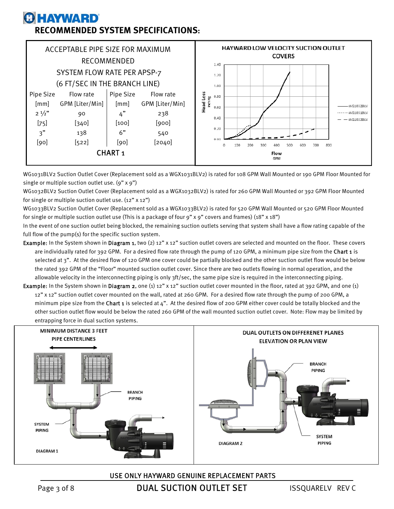# **O HAYWARD RECOMMENDED SYSTEM SPECIFICATIONS:**



WG1031BLV2 Suction Outlet Cover (Replacement sold as a WGX1031BLV2) is rated for 108 GPM Wall Mounted or 190 GPM Floor Mounted for single or multiple suction outlet use. (9" x 9")

WG1032BLV2 Suction Outlet Cover (Replacement sold as a WGX1032BLV2) is rated for 260 GPM Wall Mounted or 392 GPM Floor Mounted for single or multiple suction outlet use. (12" x 12")

WG1033BLV2 Suction Outlet Cover (Replacement sold as a WGX1033BLV2) is rated for 520 GPM Wall Mounted or 520 GPM Floor Mounted for single or multiple suction outlet use (This is a package of four 9" x 9" covers and frames) (18" x 18")

In the event of one suction outlet being blocked, the remaining suction outlets serving that system shall have a flow rating capable of the full flow of the pump(s) for the specific suction system.

- Example: In the System shown in Diagram 1, two (2) 12" x 12" suction outlet covers are selected and mounted on the floor. These covers are individually rated for 392 GPM. For a desired flow rate through the pump of 120 GPM, a minimum pipe size from the Chart 1 is selected at 3". At the desired flow of 120 GPM one cover could be partially blocked and the other suction outlet flow would be below the rated 392 GPM of the "Floor" mounted suction outlet cover. Since there are two outlets flowing in normal operation, and the allowable velocity in the interconnecting piping is only 3ft/sec, the same pipe size is required in the interconnecting piping.
- Example: In the System shown in Diagram 2, one (1) 12" x 12" suction outlet cover mounted in the floor, rated at 392 GPM, and one (1) 12" x 12" suction outlet cover mounted on the wall, rated at 260 GPM. For a desired flow rate through the pump of 200 GPM, a minimum pipe size from the Chart 1 is selected at 4". At the desired flow of 200 GPM either cover could be totally blocked and the other suction outlet flow would be below the rated 260 GPM of the wall mounted suction outlet cover. Note: Flow may be limited by entrapping force in dual suction systems.



### USE ONLY HAYWARD GENUINE REPLACEMENT PARTS

Page 3 of 8 **DUAL SUCTION OUTLET SET** ISSQUARELY REV C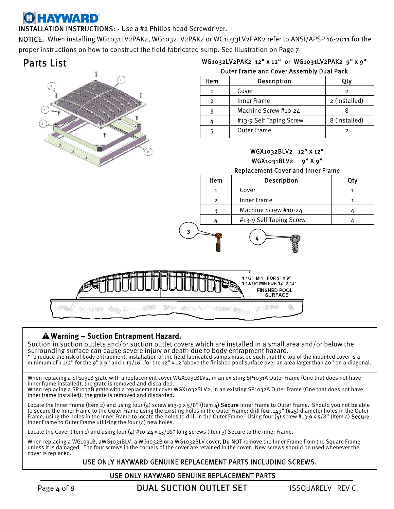# **A HAYWARD**

INSTALLATION INSTRUCTIONS: - Use a #2 Philips head Screwdriver.

NOTICE: When installing WG1031LV2PAK2, WG1032LV2PAK2 or WG1033LV2PAK2 refer to ANSI/APSP 16-2011 for the proper instructions on how to construct the field-fabricated sump. See Illustration on Page 7

# Parts List



| WG1032LV2PAK2 12"x12" or WG1031LV2PAK2 9"x9"    |  |  |
|-------------------------------------------------|--|--|
| <b>Outer Frame and Cover Assembly Dual Pack</b> |  |  |

| Item | Description             | Qtv           |
|------|-------------------------|---------------|
|      | Cover                   |               |
| っ    | Inner Frame             | 2 (Installed) |
|      | Machine Screw #10-24    |               |
|      | #13-9 Self Taping Screw | 8 (Installed) |
|      | <b>Outer Frame</b>      |               |

# WGX1032BLV2 12" x 12" WGX1031BLV2 9" X 9"

## Replacement Cover and Inner Frame

| Item     | <b>Description</b>      | ∩tv∶ |
|----------|-------------------------|------|
|          | Cover                   |      |
| <u>ົ</u> | Inner Frame             |      |
|          | Machine Screw #10-24    |      |
|          | #13-9 Self Taping Screw |      |

**4**



**3**

# **Warning – Suction Entrapment Hazard.**

Suction in suction outlets and/or suction outlet covers which are installed in a small area and/or below the surrounding surface can cause severe injury or death due to body entrapment hazard. **·**To reduce the risk of body entrapment, installation of the field fabricated sumps must be such that the top of the mounted cover is a minimum of 1 1/2" for the 9" x 9" and 1 13/16" for the 12" x 12"above the finished pool surface over an area larger than 40" on a diagonal.

When replacing a SP1031B grate with a replacement cover WGX1031BLV2, in an existing SP1031A Outer Frame (One that does not have inner frame installed), the grate is removed and discarded.

When replacing a SP1032B grate with a replacement cover WGX1032BLV2, in an existing SP1032A Outer Frame (One that does not have inner frame installed), the grate is removed and discarded.

Locate the Inner Frame (Item 2) and using four (4) screw #13-9 x  $5/8$ " (Item 4) Secure Inner Frame to Outer Frame. Should you not be able to secure the Inner Frame to the Outer Frame using the existing holes in the Outer Frame; drill four.149" (#25) diameter holes in the Outer Frame, using the holes in the Inner Frame to locate the holes to drill in the Outer Frame. Using four (4) screw #13-9 x 5/8" (Item 4) <code>Secure</code> Inner Frame to Outer Frame utilizing the four (4) new holes.

Locate the Cover (Item 1) and using four (4) #10-24 x 15/16" long screws (Item 3) Secure to the Inner Frame.

When replacing a WG1031B, aWG1031BLV, a WG1032B or a WG1032BLV cover, Do NOT remove the Inner Frame from the Square Frame unless it is damaged. The four screws in the corners of the cover are retained in the cover. New screws should be used whenever the cover is replaced.

## USE ONLY HAYWARD GENUINE REPLACEMENT PARTS INCLUDING SCREWS.

#### USE ONLY HAYWARD GENUINE REPLACEMENT PARTS

Page 4 of 8 **DUAL SUCTION OUTLET SET** ISSQUARELY REV C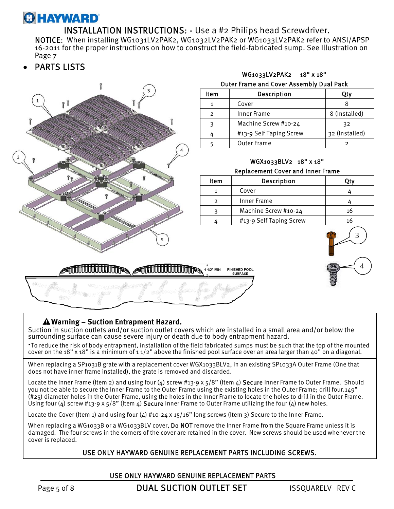# **GHAYWARD**

# INSTALLATION INSTRUCTIONS: - Use a #2 Philips head Screwdriver.

 NOTICE: When installing WG1031LV2PAK2, WG1032LV2PAK2 or WG1033LV2PAK2 refer to ANSI/APSP 16-2011 for the proper instructions on how to construct the field-fabricated sump. See Illustration on Page 7

PARTS LISTS



## **Warning – Suction Entrapment Hazard.**

Suction in suction outlets and/or suction outlet covers which are installed in a small area and/or below the surrounding surface can cause severe injury or death due to body entrapment hazard.

**·**To reduce the risk of body entrapment, installation of the field fabricated sumps must be such that the top of the mounted cover on the 18" x 18" is a minimum of 11/2" above the finished pool surface over an area larger than 40" on a diagonal.

When replacing a SP1031B grate with a replacement cover WGX1033BLV2, in an existing SP1033A Outer Frame (One that does not have inner frame installed), the grate is removed and discarded.

Locate the Inner Frame (Item 2) and using four  $(4)$  screw #13-9 x  $5/8$ " (Item  $4$ ) Secure Inner Frame to Outer Frame. Should you not be able to secure the Inner Frame to the Outer Frame using the existing holes in the Outer Frame; drill four.149" (#25) diameter holes in the Outer Frame, using the holes in the Inner Frame to locate the holes to drill in the Outer Frame. Using four (4) screw #13-9 x  $5/8$ " (Item 4) Secure Inner Frame to Outer Frame utilizing the four (4) new holes.

Locate the Cover (Item 1) and using four (4) #10-24 x 15/16" long screws (Item 3) Secure to the Inner Frame.

When replacing a WG1033B or a WG1033BLV cover, Do NOT remove the Inner Frame from the Square Frame unless it is damaged. The four screws in the corners of the cover are retained in the cover. New screws should be used whenever the cover is replaced.

## USE ONLY HAYWARD GENUINE REPLACEMENT PARTS INCLUDING SCREWS.

### USE ONLY HAYWARD GENUINE REPLACEMENT PARTS

Page 5 of 8 **DUAL SUCTION OUTLET SET** ISSQUARELY REV C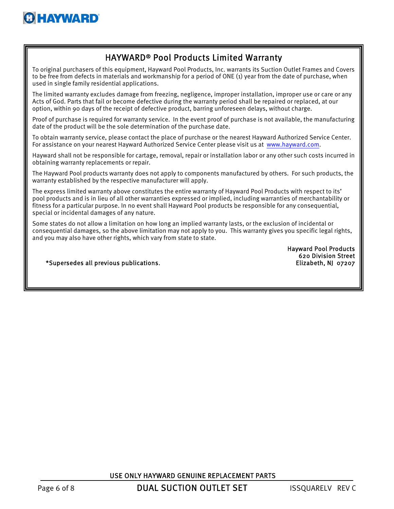

# HAYWARD® Pool Products Limited Warranty

To original purchasers of this equipment, Hayward Pool Products, Inc. warrants its Suction Outlet Frames and Covers to be free from defects in materials and workmanship for a period of ONE (1) year from the date of purchase, when used in single family residential applications.

The limited warranty excludes damage from freezing, negligence, improper installation, improper use or care or any Acts of God. Parts that fail or become defective during the warranty period shall be repaired or replaced, at our option, within 90 days of the receipt of defective product, barring unforeseen delays, without charge.

Proof of purchase is required for warranty service. In the event proof of purchase is not available, the manufacturing date of the product will be the sole determination of the purchase date.

To obtain warranty service, please contact the place of purchase or the nearest Hayward Authorized Service Center. For assistance on your nearest Hayward Authorized Service Center please visit us at www.hayward.com.

Hayward shall not be responsible for cartage, removal, repair or installation labor or any other such costs incurred in obtaining warranty replacements or repair.

The Hayward Pool products warranty does not apply to components manufactured by others. For such products, the warranty established by the respective manufacturer will apply.

The express limited warranty above constitutes the entire warranty of Hayward Pool Products with respect to its' pool products and is in lieu of all other warranties expressed or implied, including warranties of merchantability or fitness for a particular purpose. In no event shall Hayward Pool products be responsible for any consequential, special or incidental damages of any nature.

Some states do not allow a limitation on how long an implied warranty lasts, or the exclusion of incidental or consequential damages, so the above limitation may not apply to you. This warranty gives you specific legal rights, and you may also have other rights, which vary from state to state.

> Hayward Pool Products 620 Division Street

\*Supersedes all previous publications. Elizabeth, NJ 07207

USE ONLY HAYWARD GENUINE REPLACEMENT PARTS

Page 6 of 8 **DUAL SUCTION OUTLET SET** ISSQUARELY REV C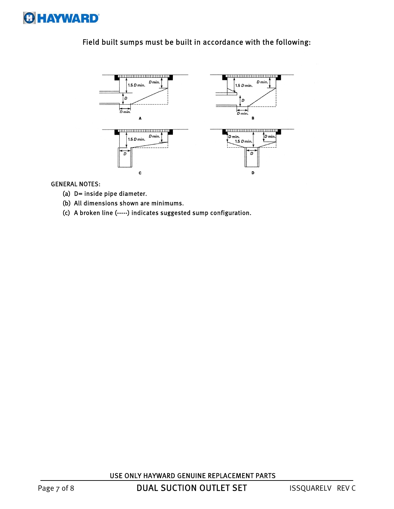

# Field built sumps must be built in accordance with the following:



#### GENERAL NOTES:

- (a) D= inside pipe diameter.
- (b) All dimensions shown are minimums.
- (c) A broken line (-----) indicates suggested sump configuration.